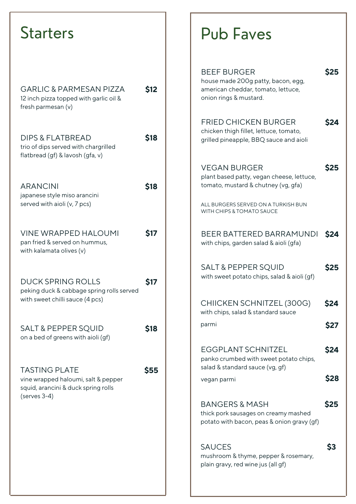| <b>Starters</b>                                                                                                      |             |
|----------------------------------------------------------------------------------------------------------------------|-------------|
| <b>GARLIC &amp; PARMESAN PIZZA</b><br>12 inch pizza topped with garlic oil &<br>fresh parmesan (v)                   | <b>\$12</b> |
| <b>DIPS &amp; FLATBREAD</b><br>trio of dips served with chargrilled<br>flatbread (gf) & lavosh (gfa, v)              | <b>\$18</b> |
| <b>ARANCINI</b><br>japanese style miso arancini<br>served with aioli (v, 7 pcs)                                      | \$18        |
| <b>VINE WRAPPED HALOUMI</b><br>pan fried & served on hummus,<br>with kalamata olives (v)                             | <b>S17</b>  |
| DUCK SPRING ROLLS<br>peking duck & cabbage spring rolls served<br>with sweet chilli sauce (4 pcs)                    | <b>Ş17</b>  |
| <b>SALT &amp; PEPPER SQUID</b><br>on a bed of greens with aioli (gf)                                                 | \$18        |
| <b>TASTING PLATE</b><br>vine wrapped haloumi, salt & pepper<br>squid, arancini & duck spring rolls<br>$(serves 3-4)$ | <b>\$55</b> |
|                                                                                                                      |             |

## Pub Faves

| <b>BEEF BURGER</b><br>house made 200g patty, bacon, egg,<br>american cheddar, tomato, lettuce,<br>onion rings & mustard. | <b>S25</b>  |
|--------------------------------------------------------------------------------------------------------------------------|-------------|
| <b>FRIED CHICKEN BURGER</b><br>chicken thigh fillet, lettuce, tomato,<br>grilled pineapple, BBQ sauce and aioli          | <b>S24</b>  |
| <b>VEGAN BURGER</b><br>plant based patty, vegan cheese, lettuce,<br>tomato, mustard & chutney (vg, gfa)                  | <b>\$25</b> |
| ALL BURGERS SERVED ON A TURKISH BUN<br>WITH CHIPS & TOMATO SAUCE                                                         |             |
| BEER BATTERED BARRAMUNDI<br>with chips, garden salad & aioli (gfa)                                                       | <b>S24</b>  |
| <b>SALT &amp; PEPPER SQUID</b><br>with sweet potato chips, salad & aioli (gf)                                            | <b>S25</b>  |
| CHIICKEN SCHNITZEL (300G)<br>with chips, salad & standard sauce                                                          | S24         |
| parmi                                                                                                                    | S27         |
| EGGPLANT SCHNITZEL<br>panko crumbed with sweet potato chips,<br>salad & standard sauce (vg, gf)                          | S24         |
| vegan parmi                                                                                                              | <b>\$28</b> |
| <b>BANGERS &amp; MASH</b><br>thick pork sausages on creamy mashed<br>potato with bacon, peas & onion gravy (gf)          | <b>\$25</b> |
| <b>SAUCES</b><br>mushroom & thyme, pepper & rosemary,<br>plain gravy, red wine jus (all gf)                              | S3          |